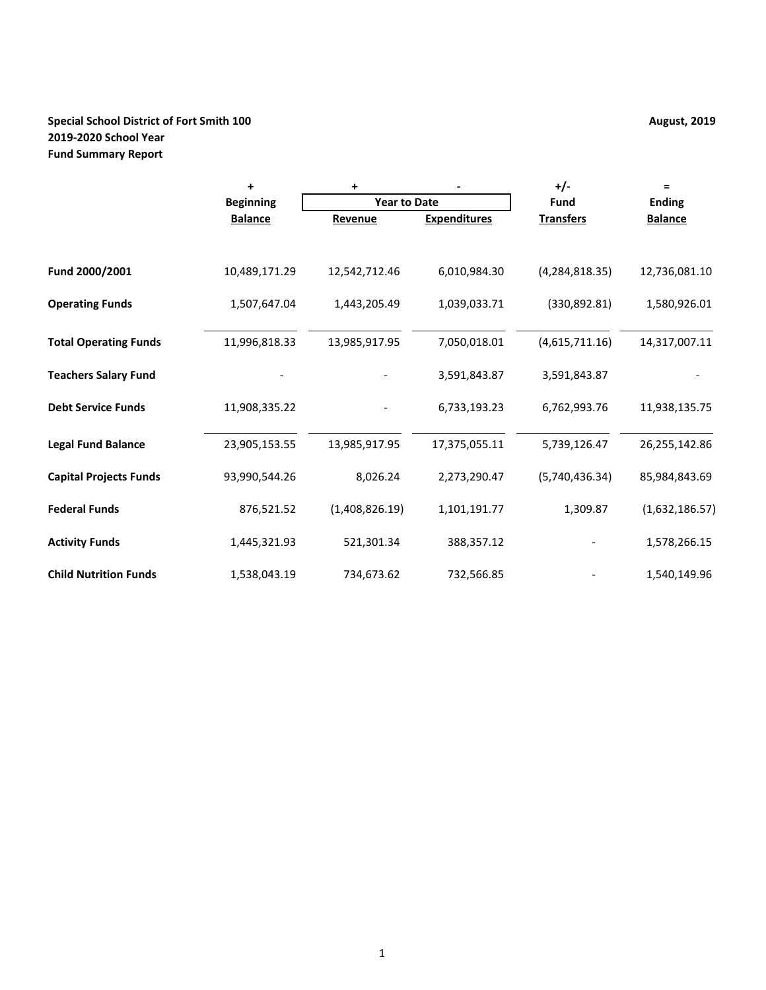## **Special School District of Fort Smith 100 August, 2019 August, 2019 2019-2020 School Year Fund Summary Report**

|                               | ÷                | ٠                   |                     | $+/-$            | Ξ              |
|-------------------------------|------------------|---------------------|---------------------|------------------|----------------|
|                               | <b>Beginning</b> | <b>Year to Date</b> |                     | Fund             | <b>Ending</b>  |
|                               | <b>Balance</b>   | Revenue             | <b>Expenditures</b> | <b>Transfers</b> | <b>Balance</b> |
|                               |                  |                     |                     |                  |                |
| Fund 2000/2001                | 10,489,171.29    | 12,542,712.46       | 6,010,984.30        | (4, 284, 818.35) | 12,736,081.10  |
| <b>Operating Funds</b>        | 1,507,647.04     | 1,443,205.49        | 1,039,033.71        | (330, 892.81)    | 1,580,926.01   |
| <b>Total Operating Funds</b>  | 11,996,818.33    | 13,985,917.95       | 7,050,018.01        | (4,615,711.16)   | 14,317,007.11  |
| <b>Teachers Salary Fund</b>   |                  |                     | 3,591,843.87        | 3,591,843.87     |                |
| <b>Debt Service Funds</b>     | 11,908,335.22    |                     | 6,733,193.23        | 6,762,993.76     | 11,938,135.75  |
| <b>Legal Fund Balance</b>     | 23,905,153.55    | 13,985,917.95       | 17,375,055.11       | 5,739,126.47     | 26,255,142.86  |
| <b>Capital Projects Funds</b> | 93,990,544.26    | 8,026.24            | 2,273,290.47        | (5,740,436.34)   | 85,984,843.69  |
| <b>Federal Funds</b>          | 876,521.52       | (1,408,826.19)      | 1,101,191.77        | 1,309.87         | (1,632,186.57) |
| <b>Activity Funds</b>         | 1,445,321.93     | 521,301.34          | 388,357.12          |                  | 1,578,266.15   |
| <b>Child Nutrition Funds</b>  | 1,538,043.19     | 734,673.62          | 732,566.85          |                  | 1,540,149.96   |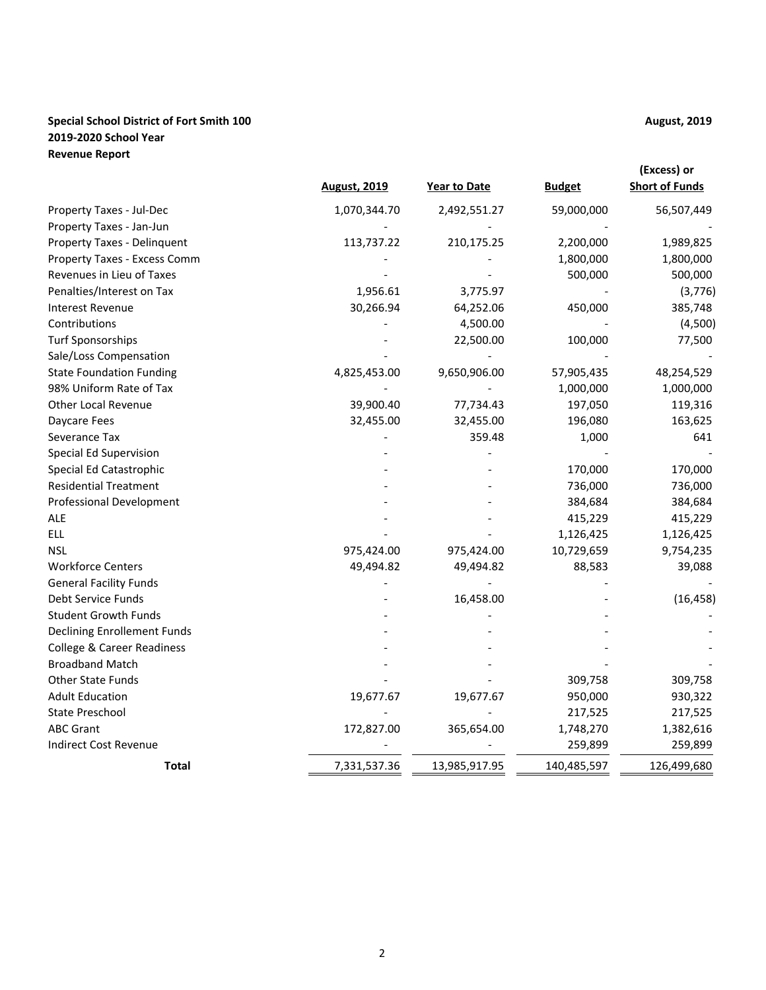## **Special School District of Fort Smith 100 August, 2019 August, 2019 2019-2020 School Year Revenue Report**

|                                       | <b>August, 2019</b> | <b>Year to Date</b> | <b>Budget</b> | (Excess) or<br><b>Short of Funds</b> |
|---------------------------------------|---------------------|---------------------|---------------|--------------------------------------|
| Property Taxes - Jul-Dec              | 1,070,344.70        | 2,492,551.27        | 59,000,000    | 56,507,449                           |
| Property Taxes - Jan-Jun              |                     |                     |               |                                      |
| Property Taxes - Delinquent           | 113,737.22          | 210,175.25          | 2,200,000     | 1,989,825                            |
| Property Taxes - Excess Comm          |                     |                     | 1,800,000     | 1,800,000                            |
| Revenues in Lieu of Taxes             |                     |                     | 500,000       | 500,000                              |
| Penalties/Interest on Tax             | 1,956.61            | 3,775.97            |               | (3,776)                              |
| <b>Interest Revenue</b>               | 30,266.94           | 64,252.06           | 450,000       | 385,748                              |
| Contributions                         |                     | 4,500.00            |               | (4,500)                              |
| <b>Turf Sponsorships</b>              |                     | 22,500.00           | 100,000       | 77,500                               |
| Sale/Loss Compensation                |                     |                     |               |                                      |
| <b>State Foundation Funding</b>       | 4,825,453.00        | 9,650,906.00        | 57,905,435    | 48,254,529                           |
| 98% Uniform Rate of Tax               |                     |                     | 1,000,000     | 1,000,000                            |
| <b>Other Local Revenue</b>            | 39,900.40           | 77,734.43           | 197,050       | 119,316                              |
| Daycare Fees                          | 32,455.00           | 32,455.00           | 196,080       | 163,625                              |
| Severance Tax                         |                     | 359.48              | 1,000         | 641                                  |
| Special Ed Supervision                |                     |                     |               |                                      |
| Special Ed Catastrophic               |                     |                     | 170,000       | 170,000                              |
| <b>Residential Treatment</b>          |                     |                     | 736,000       | 736,000                              |
| <b>Professional Development</b>       |                     |                     | 384,684       | 384,684                              |
| <b>ALE</b>                            |                     |                     | 415,229       | 415,229                              |
| ELL                                   |                     |                     | 1,126,425     | 1,126,425                            |
| <b>NSL</b>                            | 975,424.00          | 975,424.00          | 10,729,659    | 9,754,235                            |
| <b>Workforce Centers</b>              | 49,494.82           | 49,494.82           | 88,583        | 39,088                               |
| <b>General Facility Funds</b>         |                     |                     |               |                                      |
| Debt Service Funds                    |                     | 16,458.00           |               | (16, 458)                            |
| <b>Student Growth Funds</b>           |                     |                     |               |                                      |
| <b>Declining Enrollement Funds</b>    |                     |                     |               |                                      |
| <b>College &amp; Career Readiness</b> |                     |                     |               |                                      |
| <b>Broadband Match</b>                |                     |                     |               |                                      |
| <b>Other State Funds</b>              |                     |                     | 309,758       | 309,758                              |
| <b>Adult Education</b>                | 19,677.67           | 19,677.67           | 950,000       | 930,322                              |
| <b>State Preschool</b>                |                     |                     | 217,525       | 217,525                              |
| <b>ABC Grant</b>                      | 172,827.00          | 365,654.00          | 1,748,270     | 1,382,616                            |
| <b>Indirect Cost Revenue</b>          |                     |                     | 259,899       | 259,899                              |
| <b>Total</b>                          | 7,331,537.36        | 13,985,917.95       | 140,485,597   | 126,499,680                          |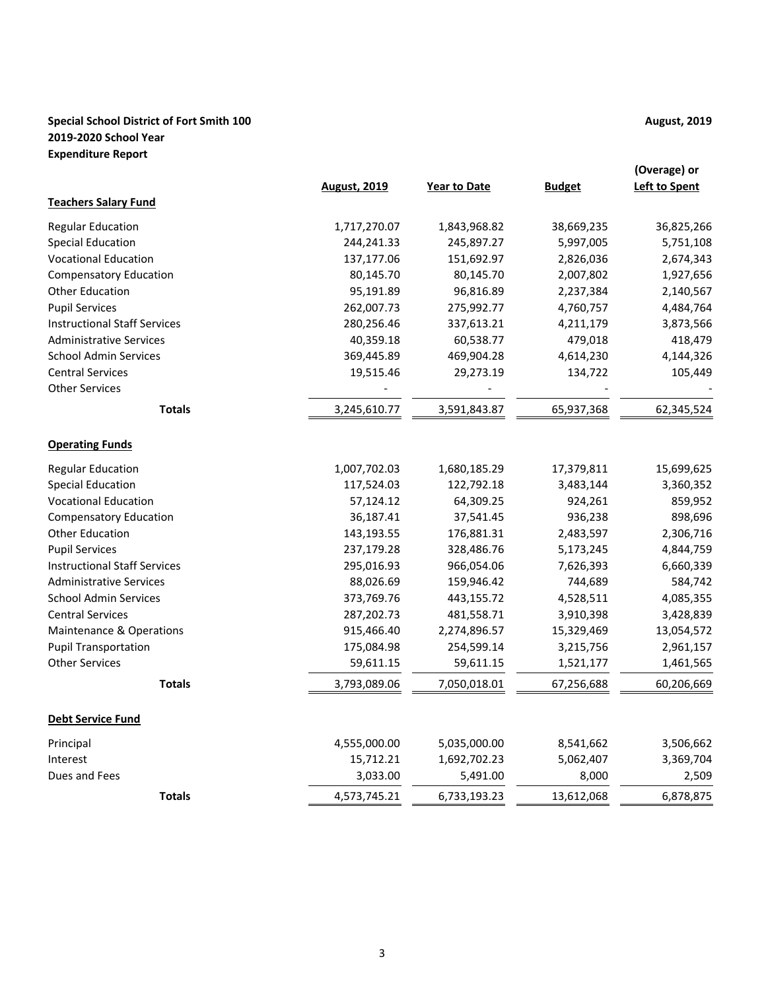## **Special School District of Fort Smith 100 August, 2019 August, 2019 2019-2020 School Year Expenditure Report**

|                                     | <b>August, 2019</b> | <b>Year to Date</b> | <b>Budget</b> | (Overage) or<br><b>Left to Spent</b> |
|-------------------------------------|---------------------|---------------------|---------------|--------------------------------------|
| <b>Teachers Salary Fund</b>         |                     |                     |               |                                      |
| <b>Regular Education</b>            | 1,717,270.07        | 1,843,968.82        | 38,669,235    | 36,825,266                           |
| <b>Special Education</b>            | 244,241.33          | 245,897.27          | 5,997,005     | 5,751,108                            |
| <b>Vocational Education</b>         | 137,177.06          | 151,692.97          | 2,826,036     | 2,674,343                            |
| <b>Compensatory Education</b>       | 80,145.70           | 80,145.70           | 2,007,802     | 1,927,656                            |
| Other Education                     | 95,191.89           | 96,816.89           | 2,237,384     | 2,140,567                            |
| <b>Pupil Services</b>               | 262,007.73          | 275,992.77          | 4,760,757     | 4,484,764                            |
| <b>Instructional Staff Services</b> | 280,256.46          | 337,613.21          | 4,211,179     | 3,873,566                            |
| <b>Administrative Services</b>      | 40,359.18           | 60,538.77           | 479,018       | 418,479                              |
| <b>School Admin Services</b>        | 369,445.89          | 469,904.28          | 4,614,230     | 4,144,326                            |
| <b>Central Services</b>             | 19,515.46           | 29,273.19           | 134,722       | 105,449                              |
| <b>Other Services</b>               |                     |                     |               |                                      |
| <b>Totals</b>                       | 3,245,610.77        | 3,591,843.87        | 65,937,368    | 62,345,524                           |
| <b>Operating Funds</b>              |                     |                     |               |                                      |
| <b>Regular Education</b>            | 1,007,702.03        | 1,680,185.29        | 17,379,811    | 15,699,625                           |
| <b>Special Education</b>            | 117,524.03          | 122,792.18          | 3,483,144     | 3,360,352                            |
| <b>Vocational Education</b>         | 57,124.12           | 64,309.25           | 924,261       | 859,952                              |
| <b>Compensatory Education</b>       | 36,187.41           | 37,541.45           | 936,238       | 898,696                              |
| <b>Other Education</b>              | 143,193.55          | 176,881.31          | 2,483,597     | 2,306,716                            |
| <b>Pupil Services</b>               | 237,179.28          | 328,486.76          | 5,173,245     | 4,844,759                            |
| <b>Instructional Staff Services</b> | 295,016.93          | 966,054.06          | 7,626,393     | 6,660,339                            |
| <b>Administrative Services</b>      | 88,026.69           | 159,946.42          | 744,689       | 584,742                              |
| <b>School Admin Services</b>        | 373,769.76          | 443,155.72          | 4,528,511     | 4,085,355                            |
| <b>Central Services</b>             | 287,202.73          | 481,558.71          | 3,910,398     | 3,428,839                            |
| Maintenance & Operations            | 915,466.40          | 2,274,896.57        | 15,329,469    | 13,054,572                           |
| <b>Pupil Transportation</b>         | 175,084.98          | 254,599.14          | 3,215,756     | 2,961,157                            |
| <b>Other Services</b>               | 59,611.15           | 59,611.15           | 1,521,177     | 1,461,565                            |
| <b>Totals</b>                       | 3,793,089.06        | 7,050,018.01        | 67,256,688    | 60,206,669                           |
| <b>Debt Service Fund</b>            |                     |                     |               |                                      |
| Principal                           | 4,555,000.00        | 5,035,000.00        | 8,541,662     | 3,506,662                            |
| Interest                            | 15,712.21           | 1,692,702.23        | 5,062,407     | 3,369,704                            |
| Dues and Fees                       | 3,033.00            | 5,491.00            | 8,000         | 2,509                                |
| <b>Totals</b>                       | 4,573,745.21        | 6,733,193.23        | 13,612,068    | 6,878,875                            |